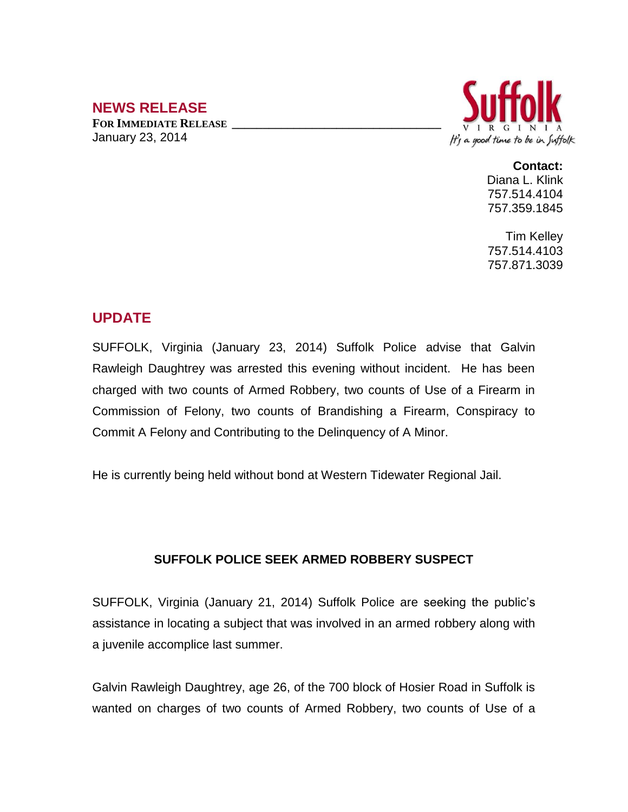## **NEWS RELEASE**

**FOR IMMEDIATE RELEASE \_\_\_\_\_\_\_\_\_\_\_\_\_\_\_\_\_\_\_\_\_\_\_\_\_\_\_\_\_\_\_\_\_\_** January 23, 2014



## **Contact:**

Diana L. Klink 757.514.4104 757.359.1845

Tim Kelley 757.514.4103 757.871.3039

## **UPDATE**

SUFFOLK, Virginia (January 23, 2014) Suffolk Police advise that Galvin Rawleigh Daughtrey was arrested this evening without incident. He has been charged with two counts of Armed Robbery, two counts of Use of a Firearm in Commission of Felony, two counts of Brandishing a Firearm, Conspiracy to Commit A Felony and Contributing to the Delinquency of A Minor.

He is currently being held without bond at Western Tidewater Regional Jail.

## **SUFFOLK POLICE SEEK ARMED ROBBERY SUSPECT**

SUFFOLK, Virginia (January 21, 2014) Suffolk Police are seeking the public's assistance in locating a subject that was involved in an armed robbery along with a juvenile accomplice last summer.

Galvin Rawleigh Daughtrey, age 26, of the 700 block of Hosier Road in Suffolk is wanted on charges of two counts of Armed Robbery, two counts of Use of a